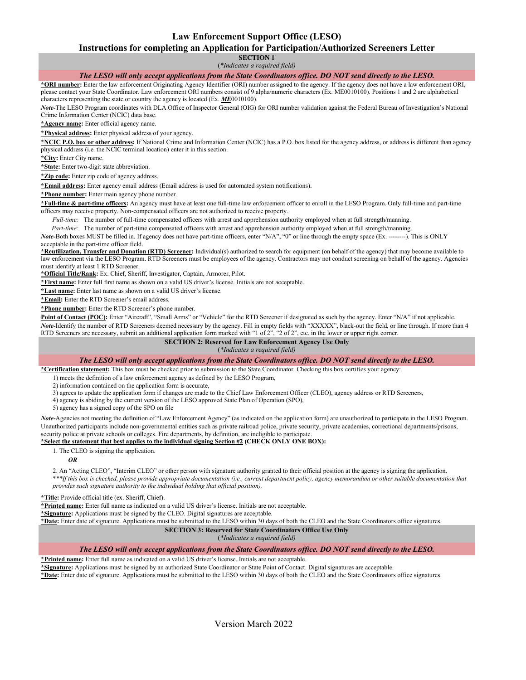# **Law Enforcement Support Office (LESO)**

### **Instructions for completing an Application for Participation/Authorized Screeners Letter**

**SECTION 1** (*\*Indicates a required field)*

## *The LESO will only accept applications from the State Coordinators office. DO NOT send directly to the LESO.*

**\*ORI number:** Enter the law enforcement Originating Agency Identifier (ORI) number assigned to the agency. If the agency does not have a law enforcement ORI, please contact your State Coordinator. Law enforcement ORI numbers consist of 9 alpha/numeric characters (Ex. ME0010100). Positions 1 and 2 are alphabetical characters representing the state or country the agency is located (Ex. *ME*0010100).

*Note-*The LESO Program coordinates with DLA Office of Inspector General (OIG) for ORI number validation against the Federal Bureau of Investigation's National Crime Information Center (NCIC) data base.

**\*Agency name:** Enter official agency name.

**\*Physical address:** Enter physical address of your agency.

**\*NCIC P.O. box or other address:** If National Crime and Information Center (NCIC) has a P.O. box listed for the agency address, or address is different than agency physical address (i.e. the NCIC terminal location) enter it in this section.

**\*City:** Enter City name.

**\*State:** Enter two-digit state abbreviation.

**\*Zip code:** Enter zip code of agency address.

**\*Email address:** Enter agency email address (Email address is used for automated system notifications).

**\*Phone number:** Enter main agency phone number.

**\*Full-time & part-time officers:** An agency must have at least one full-time law enforcement officer to enroll in the LESO Program. Only full-time and part-time officers may receive property. Non-compensated officers are not authorized to receive property.

*Full-time:* The number of full-time compensated officers with arrest and apprehension authority employed when at full strength/manning.

*Part-time:* The number of part-time compensated officers with arrest and apprehension authority employed when at full strength/manning.

*Note-*Both boxes MUST be filled in. If agency does not have part-time officers, enter "N/A", "0" or line through the empty space (Ex. --------). This is ONLY acceptable in the part-time officer field.

**\*Reutilization, Transfer and Donation (RTD) Screener:** Individual(s) authorized to search for equipment (on behalf of the agency) that may become available to law enforcement via the LESO Program. RTD Screeners must be employees of the agency. Contractors may not conduct screening on behalf of the agency. Agencies must identify at least 1 RTD Screener.

**\*Official Title/Rank:** Ex. Chief, Sheriff, Investigator, Captain, Armorer, Pilot.

**\*First name:** Enter full first name as shown on a valid US driver's license. Initials are not acceptable.

**\*Last name:** Enter last name as shown on a valid US driver's license.

**\*Email:** Enter the RTD Screener's email address.

**\*Phone number:** Enter the RTD Screener's phone number.

Point of Contact (POC): Enter "Aircraft", "Small Arms" or "Vehicle" for the RTD Screener if designated as such by the agency. Enter "N/A" if not applicable. *Note-*Identify the number of RTD Screeners deemed necessary by the agency. Fill in empty fields with "XXXXX", black-out the field, or line through. If more than 4 RTD Screeners are necessary, submit an additional application form marked with "1 of  $2$ ", "2 of  $2$ ", etc. in the lower or upper right corner.

#### **SECTION 2: Reserved for Law Enforcement Agency Use Only**

(*\*Indicates a required field)*

## *The LESO will only accept applications from the State Coordinators office. DO NOT send directly to the LESO.*

**\*Certification statement:** This box must be checked prior to submission to the State Coordinator. Checking this box certifies your agency:

1) meets the definition of a law enforcement agency as defined by the LESO Program,

2) information contained on the application form is accurate,

3) agrees to update the application form if changes are made to the Chief Law Enforcement Officer (CLEO), agency address or RTD Screeners,

4) agency is abiding by the current version of the LESO approved State Plan of Operation (SPO),

5) agency has a signed copy of the SPO on file

*Note-*Agencies not meeting the definition of "Law Enforcement Agency" (as indicated on the application form) are unauthorized to participate in the LESO Program. Unauthorized participants include non-governmental entities such as private railroad police, private security, private academies, correctional departments/prisons, security police at private schools or colleges. Fire departments, by definition, are ineligible to participate.

#### **\*Select the statement that best applies to the individual signing Section #2 (CHECK ONLY ONE BOX):**

1. The CLEO is signing the application.

#### *OR*

2. An "Acting CLEO", "Interim CLEO" or other person with signature authority granted to their official position at the agency is signing the application. \**\*\*If this box is checked, please provide appropriate documentation (i.e., current department policy, agency memorandum or other suitable documentation that provides such signature authority to the individual holding that official position).*

**\*Title:** Provide official title (ex. Sheriff, Chief).

**\*Printed name:** Enter full name as indicated on a valid US driver's license. Initials are not acceptable.

**\*Signature:** Applications must be signed by the CLEO. Digital signatures are acceptable.

**\*Date:** Enter date of signature. Applications must be submitted to the LESO within 30 days of both the CLEO and the State Coordinators office signatures.

#### **SECTION 3: Reserved for State Coordinators Office Use Only**

(*\*Indicates a required field)*

### *The LESO will only accept applications from the State Coordinators office. DO NOT send directly to the LESO.*

**\*Printed name:** Enter full name as indicated on a valid US driver's license. Initials are not acceptable.

**\*Signature:** Applications must be signed by an authorized State Coordinator or State Point of Contact. Digital signatures are acceptable.

**\*Date:** Enter date of signature. Applications must be submitted to the LESO within 30 days of both the CLEO and the State Coordinators office signatures.

Version March 2022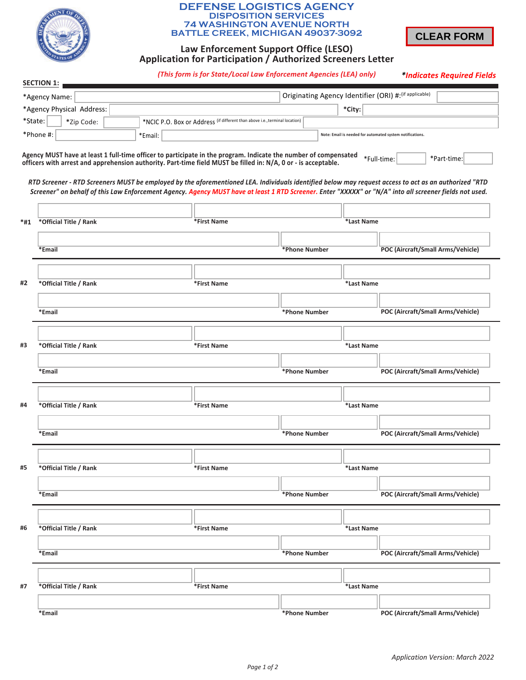

### **DEFENSE LOGISTICS AGENCY DISPOSITION SERVICES 74 WASHINGTON AVENUE NORTH BATTLE CREEK, MICHIGAN 49037-3092**



# **Law Enforcement Support Office (LESO)** Application for Participation / Authorized Screeners Letter

 $(This form is for State/Local Law Enforcement Agencies (LEA) only)$ 

*<sup>\*</sup>Indicates Required Fields* 

| <b>SECTION 1:</b>                                                                                    |                                                                                                                                                                                                                                                                                                                                                                                                                                                                                                                                                                                     |             |               |            |                                   |  |  |
|------------------------------------------------------------------------------------------------------|-------------------------------------------------------------------------------------------------------------------------------------------------------------------------------------------------------------------------------------------------------------------------------------------------------------------------------------------------------------------------------------------------------------------------------------------------------------------------------------------------------------------------------------------------------------------------------------|-------------|---------------|------------|-----------------------------------|--|--|
| Originating Agency Identifier (ORI) #: (if applicable)<br>*Agency Name:                              |                                                                                                                                                                                                                                                                                                                                                                                                                                                                                                                                                                                     |             |               |            |                                   |  |  |
|                                                                                                      | *Agency Physical Address:                                                                                                                                                                                                                                                                                                                                                                                                                                                                                                                                                           |             |               | *City:     |                                   |  |  |
| *State:<br>*NCIC P.O. Box or Address (if different than above i.e., terminal location)<br>*Zip Code: |                                                                                                                                                                                                                                                                                                                                                                                                                                                                                                                                                                                     |             |               |            |                                   |  |  |
| *Phone #:<br>Note: Email is needed for automated system notifications.<br>*Email:                    |                                                                                                                                                                                                                                                                                                                                                                                                                                                                                                                                                                                     |             |               |            |                                   |  |  |
|                                                                                                      | Agency MUST have at least 1 full-time officer to participate in the program. Indicate the number of compensated<br>*Full-time:<br>*Part-time:<br>officers with arrest and apprehension authority. Part-time field MUST be filled in: N/A, 0 or - is acceptable.<br>RTD Screener - RTD Screeners MUST be employed by the aforementioned LEA. Individuals identified below may request access to act as an authorized "RTD<br>Screener" on behalf of this Law Enforcement Agency. Agency MUST have at least 1 RTD Screener. Enter "XXXXX" or "N/A" into all screener fields not used. |             |               |            |                                   |  |  |
|                                                                                                      |                                                                                                                                                                                                                                                                                                                                                                                                                                                                                                                                                                                     |             |               |            |                                   |  |  |
| *#1                                                                                                  | *Official Title / Rank                                                                                                                                                                                                                                                                                                                                                                                                                                                                                                                                                              | *First Name |               |            | *Last Name                        |  |  |
|                                                                                                      |                                                                                                                                                                                                                                                                                                                                                                                                                                                                                                                                                                                     |             |               |            |                                   |  |  |
|                                                                                                      | *Email                                                                                                                                                                                                                                                                                                                                                                                                                                                                                                                                                                              |             | *Phone Number |            | POC (Aircraft/Small Arms/Vehicle) |  |  |
|                                                                                                      |                                                                                                                                                                                                                                                                                                                                                                                                                                                                                                                                                                                     |             |               |            |                                   |  |  |
| #2                                                                                                   | *Official Title / Rank                                                                                                                                                                                                                                                                                                                                                                                                                                                                                                                                                              | *First Name |               | *Last Name |                                   |  |  |
|                                                                                                      |                                                                                                                                                                                                                                                                                                                                                                                                                                                                                                                                                                                     |             |               |            |                                   |  |  |
|                                                                                                      | *Email                                                                                                                                                                                                                                                                                                                                                                                                                                                                                                                                                                              |             | *Phone Number |            | POC (Aircraft/Small Arms/Vehicle) |  |  |
|                                                                                                      |                                                                                                                                                                                                                                                                                                                                                                                                                                                                                                                                                                                     |             |               |            |                                   |  |  |
|                                                                                                      |                                                                                                                                                                                                                                                                                                                                                                                                                                                                                                                                                                                     |             |               |            |                                   |  |  |
| #3                                                                                                   | *Official Title / Rank                                                                                                                                                                                                                                                                                                                                                                                                                                                                                                                                                              | *First Name |               | *Last Name |                                   |  |  |
|                                                                                                      | *Email                                                                                                                                                                                                                                                                                                                                                                                                                                                                                                                                                                              |             | *Phone Number |            | POC (Aircraft/Small Arms/Vehicle) |  |  |
|                                                                                                      |                                                                                                                                                                                                                                                                                                                                                                                                                                                                                                                                                                                     |             |               |            |                                   |  |  |
|                                                                                                      |                                                                                                                                                                                                                                                                                                                                                                                                                                                                                                                                                                                     |             |               |            |                                   |  |  |
| #4                                                                                                   | *Official Title / Rank                                                                                                                                                                                                                                                                                                                                                                                                                                                                                                                                                              | *First Name |               | *Last Name |                                   |  |  |
|                                                                                                      |                                                                                                                                                                                                                                                                                                                                                                                                                                                                                                                                                                                     |             |               |            |                                   |  |  |
|                                                                                                      | *Email                                                                                                                                                                                                                                                                                                                                                                                                                                                                                                                                                                              |             | *Phone Number |            | POC (Aircraft/Small Arms/Vehicle) |  |  |
|                                                                                                      |                                                                                                                                                                                                                                                                                                                                                                                                                                                                                                                                                                                     |             |               |            |                                   |  |  |
| #5                                                                                                   | *Official Title / Rank                                                                                                                                                                                                                                                                                                                                                                                                                                                                                                                                                              | *First Name |               | *Last Name |                                   |  |  |
|                                                                                                      |                                                                                                                                                                                                                                                                                                                                                                                                                                                                                                                                                                                     |             |               |            |                                   |  |  |
|                                                                                                      | *Email                                                                                                                                                                                                                                                                                                                                                                                                                                                                                                                                                                              |             | *Phone Number |            | POC (Aircraft/Small Arms/Vehicle) |  |  |
|                                                                                                      |                                                                                                                                                                                                                                                                                                                                                                                                                                                                                                                                                                                     |             |               |            |                                   |  |  |
| #6                                                                                                   | *Official Title / Rank                                                                                                                                                                                                                                                                                                                                                                                                                                                                                                                                                              | *First Name |               | *Last Name |                                   |  |  |
|                                                                                                      |                                                                                                                                                                                                                                                                                                                                                                                                                                                                                                                                                                                     |             |               |            |                                   |  |  |
|                                                                                                      | *Email                                                                                                                                                                                                                                                                                                                                                                                                                                                                                                                                                                              |             | *Phone Number |            | POC (Aircraft/Small Arms/Vehicle) |  |  |
|                                                                                                      |                                                                                                                                                                                                                                                                                                                                                                                                                                                                                                                                                                                     |             |               |            |                                   |  |  |
| #7                                                                                                   | *Official Title / Rank                                                                                                                                                                                                                                                                                                                                                                                                                                                                                                                                                              | *First Name |               | *Last Name |                                   |  |  |
|                                                                                                      |                                                                                                                                                                                                                                                                                                                                                                                                                                                                                                                                                                                     |             |               |            |                                   |  |  |
|                                                                                                      | *Email                                                                                                                                                                                                                                                                                                                                                                                                                                                                                                                                                                              |             | *Phone Number |            | POC (Aircraft/Small Arms/Vehicle) |  |  |